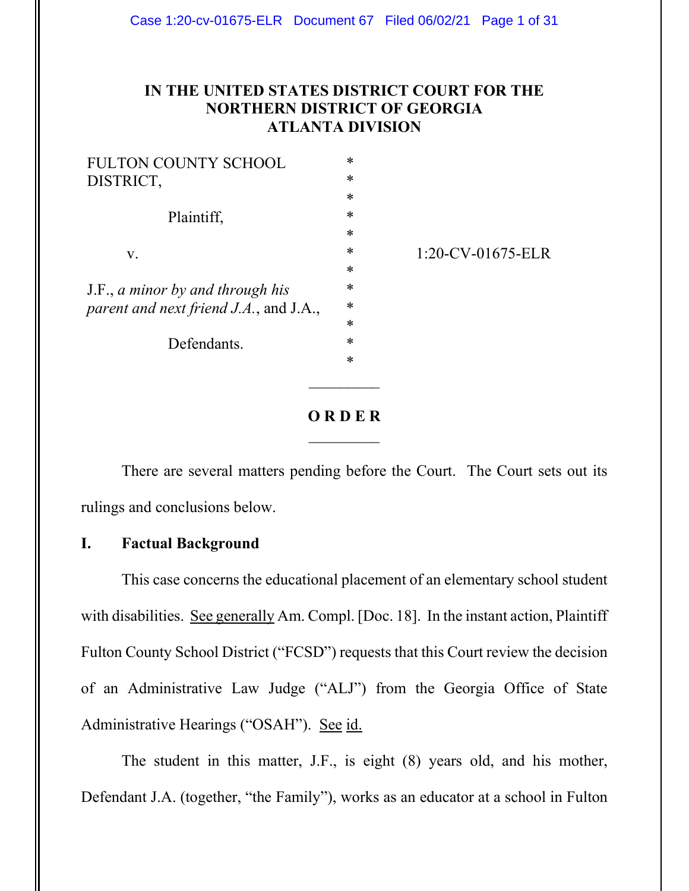# **IN THE UNITED STATES DISTRICT COURT FOR THE NORTHERN DISTRICT OF GEORGIA ATLANTA DIVISION**

| <b>FULTON COUNTY SCHOOL</b>            | $\ast$ |                      |
|----------------------------------------|--------|----------------------|
| DISTRICT,<br>Plaintiff,                | ∗      |                      |
|                                        | *      |                      |
|                                        | *      |                      |
|                                        | $\ast$ |                      |
| V.                                     | ∗      | $1:20$ -CV-01675-ELR |
|                                        | ∗      |                      |
| J.F., a minor by and through his       | $\ast$ |                      |
| parent and next friend J.A., and J.A., | $\ast$ |                      |
|                                        | $\ast$ |                      |
| Defendants.                            | *      |                      |
|                                        | *      |                      |
|                                        |        |                      |
|                                        |        |                      |

# **O R D E R**  $\overline{\phantom{a}}$

There are several matters pending before the Court. The Court sets out its rulings and conclusions below.

## **I. Factual Background**

This case concerns the educational placement of an elementary school student with disabilities. See generally Am. Compl. [Doc. 18]. In the instant action, Plaintiff Fulton County School District ("FCSD") requests that this Court review the decision of an Administrative Law Judge ("ALJ") from the Georgia Office of State Administrative Hearings ("OSAH"). See id.

The student in this matter, J.F., is eight (8) years old, and his mother, Defendant J.A. (together, "the Family"), works as an educator at a school in Fulton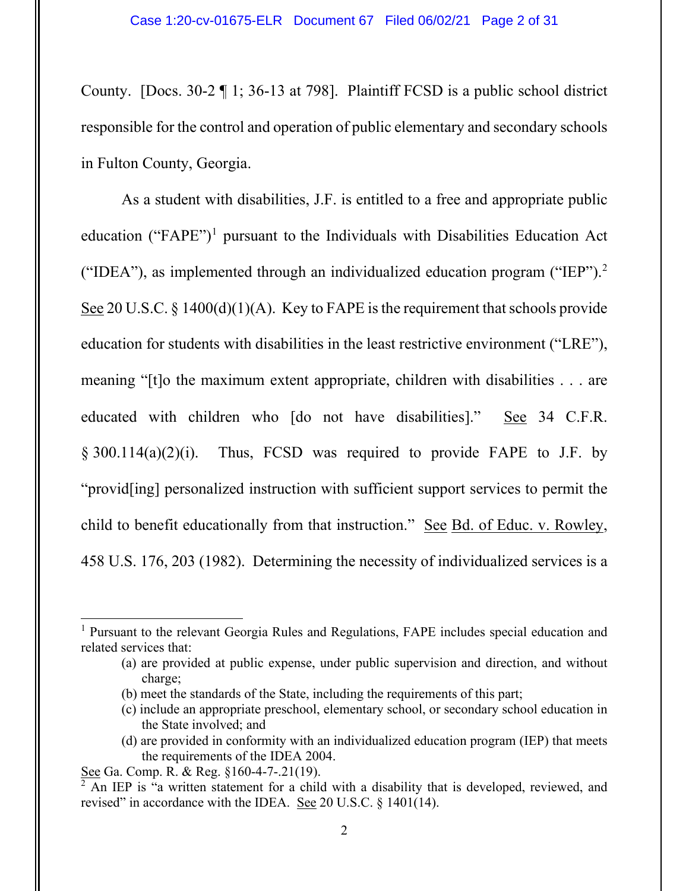County. [Docs. 30-2 ¶ 1; 36-13 at 798]. Plaintiff FCSD is a public school district responsible for the control and operation of public elementary and secondary schools in Fulton County, Georgia.

As a student with disabilities, J.F. is entitled to a free and appropriate public education ("FAPE"[\)1](#page-1-0) pursuant to the Individuals with Disabilities Education Act ("IDEA"), as implemented through an individualized education program ("IEP"). $2$ See 20 U.S.C. § 1400(d)(1)(A). Key to FAPE is the requirement that schools provide education for students with disabilities in the least restrictive environment ("LRE"), meaning "[t]o the maximum extent appropriate, children with disabilities . . . are educated with children who [do not have disabilities]." See 34 C.F.R. § 300.114(a)(2)(i). Thus, FCSD was required to provide FAPE to J.F. by "provid[ing] personalized instruction with sufficient support services to permit the child to benefit educationally from that instruction." See Bd. of Educ. v. Rowley, 458 U.S. 176, 203 (1982). Determining the necessity of individualized services is a

- (b) meet the standards of the State, including the requirements of this part;
- (c) include an appropriate preschool, elementary school, or secondary school education in the State involved; and
- (d) are provided in conformity with an individualized education program (IEP) that meets the requirements of the IDEA 2004.

<span id="page-1-0"></span><sup>1</sup> Pursuant to the relevant Georgia Rules and Regulations, FAPE includes special education and related services that:

<sup>(</sup>a) are provided at public expense, under public supervision and direction, and without charge;

See Ga. Comp. R. & Reg. §160-4-7-.21(19).

<span id="page-1-1"></span> $\sqrt[2]{2}$  An IEP is "a written statement for a child with a disability that is developed, reviewed, and revised" in accordance with the IDEA. See 20 U.S.C. § 1401(14).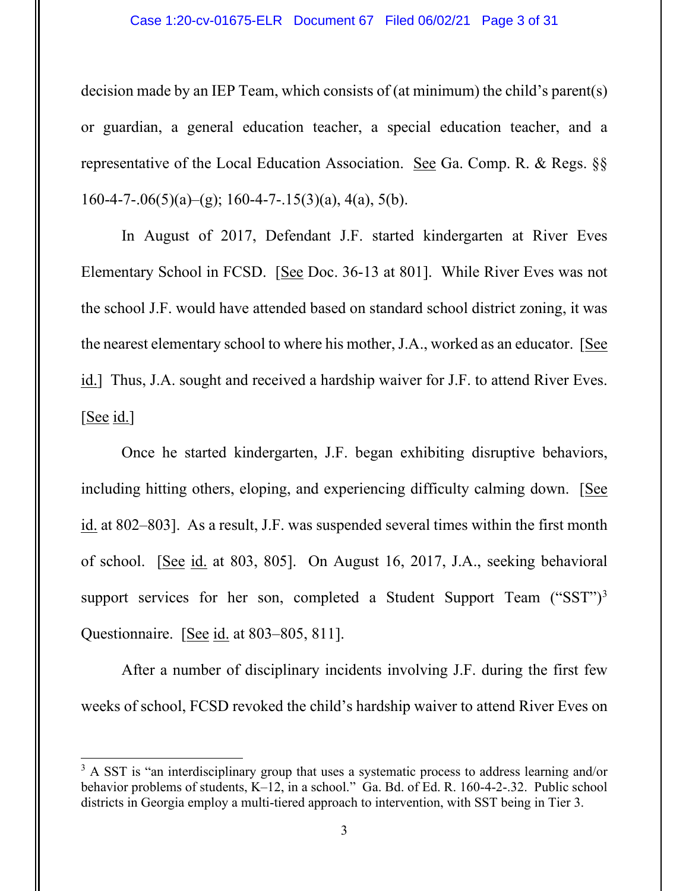#### Case 1:20-cv-01675-ELR Document 67 Filed 06/02/21 Page 3 of 31

decision made by an IEP Team, which consists of (at minimum) the child's parent(s) or guardian, a general education teacher, a special education teacher, and a representative of the Local Education Association. See Ga. Comp. R. & Regs. §§  $160-4-7-06(5)(a)$ –(g); 160-4-7-.15(3)(a), 4(a), 5(b).

In August of 2017, Defendant J.F. started kindergarten at River Eves Elementary School in FCSD. [See Doc. 36-13 at 801]. While River Eves was not the school J.F. would have attended based on standard school district zoning, it was the nearest elementary school to where his mother, J.A., worked as an educator. [See id.] Thus, J.A. sought and received a hardship waiver for J.F. to attend River Eves.  $[See id.]$ 

Once he started kindergarten, J.F. began exhibiting disruptive behaviors, including hitting others, eloping, and experiencing difficulty calming down. [See id. at 802–803]. As a result, J.F. was suspended several times within the first month of school. [See id. at 803, 805]. On August 16, 2017, J.A., seeking behavioral support services for her son, completed a Student Support Team ("SST")<sup>3</sup> Questionnaire. [See id. at 803–805, 811].

After a number of disciplinary incidents involving J.F. during the first few weeks of school, FCSD revoked the child's hardship waiver to attend River Eves on

<span id="page-2-0"></span><sup>&</sup>lt;sup>3</sup> A SST is "an interdisciplinary group that uses a systematic process to address learning and/or behavior problems of students, K–12, in a school." Ga. Bd. of Ed. R. 160-4-2-.32. Public school districts in Georgia employ a multi-tiered approach to intervention, with SST being in Tier 3.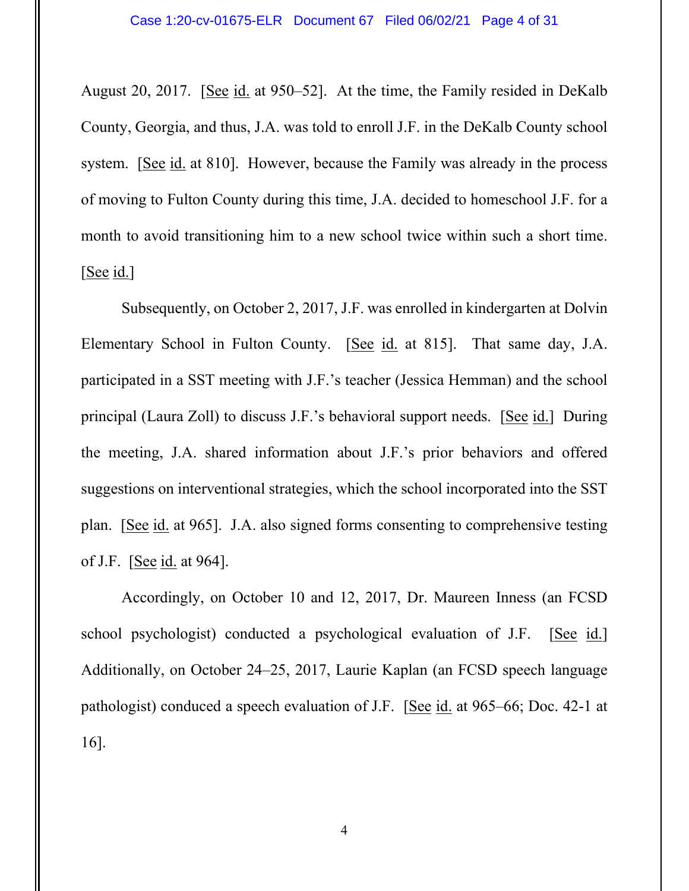August 20, 2017. [See id. at 950–52]. At the time, the Family resided in DeKalb County, Georgia, and thus, J.A. was told to enroll J.F. in the DeKalb County school system. [See id. at 810]. However, because the Family was already in the process of moving to Fulton County during this time, J.A. decided to homeschool J.F. for a month to avoid transitioning him to a new school twice within such a short time. [See id.]

Subsequently, on October 2, 2017, J.F. was enrolled in kindergarten at Dolvin Elementary School in Fulton County. [See id. at 815]. That same day, J.A. participated in a SST meeting with J.F.'s teacher (Jessica Hemman) and the school principal (Laura Zoll) to discuss J.F.'s behavioral support needs. [See id.] During the meeting, J.A. shared information about J.F.'s prior behaviors and offered suggestions on interventional strategies, which the school incorporated into the SST plan. [See id. at 965]. J.A. also signed forms consenting to comprehensive testing of J.F. [See id. at 964].

Accordingly, on October 10 and 12, 2017, Dr. Maureen Inness (an FCSD school psychologist) conducted a psychological evaluation of J.F. [See id.] Additionally, on October 24–25, 2017, Laurie Kaplan (an FCSD speech language pathologist) conduced a speech evaluation of J.F. [See id. at 965–66; Doc. 42-1 at 16].

4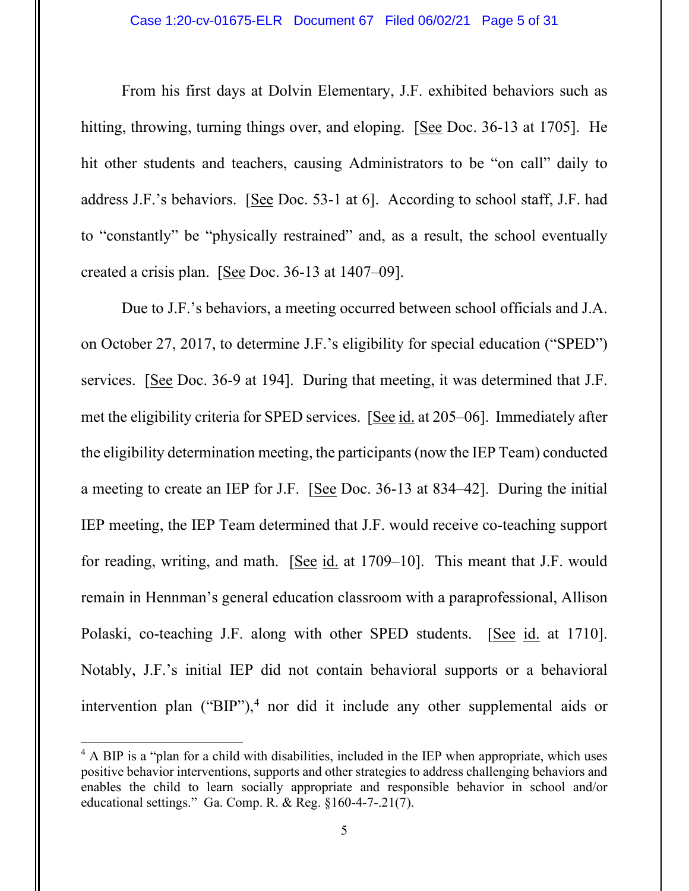From his first days at Dolvin Elementary, J.F. exhibited behaviors such as hitting, throwing, turning things over, and eloping. [See Doc. 36-13 at 1705]. He hit other students and teachers, causing Administrators to be "on call" daily to address J.F.'s behaviors. [See Doc. 53-1 at 6]. According to school staff, J.F. had to "constantly" be "physically restrained" and, as a result, the school eventually created a crisis plan. [See Doc. 36-13 at 1407–09].

Due to J.F.'s behaviors, a meeting occurred between school officials and J.A. on October 27, 2017, to determine J.F.'s eligibility for special education ("SPED") services. [See Doc. 36-9 at 194]. During that meeting, it was determined that J.F. met the eligibility criteria for SPED services. [See id. at 205–06]. Immediately after the eligibility determination meeting, the participants (now the IEP Team) conducted a meeting to create an IEP for J.F. [See Doc. 36-13 at 834–42]. During the initial IEP meeting, the IEP Team determined that J.F. would receive co-teaching support for reading, writing, and math.  $[See id. at 1709–10]$ . This meant that J.F. would remain in Hennman's general education classroom with a paraprofessional, Allison Polaski, co-teaching J.F. along with other SPED students. [See id. at 1710]. Notably, J.F.'s initial IEP did not contain behavioral supports or a behavioral intervention plan ("BIP"),<sup>[4](#page-4-0)</sup> nor did it include any other supplemental aids or

<span id="page-4-0"></span> $4$  A BIP is a "plan for a child with disabilities, included in the IEP when appropriate, which uses positive behavior interventions, supports and other strategies to address challenging behaviors and enables the child to learn socially appropriate and responsible behavior in school and/or educational settings." Ga. Comp. R. & Reg. §160-4-7-.21(7).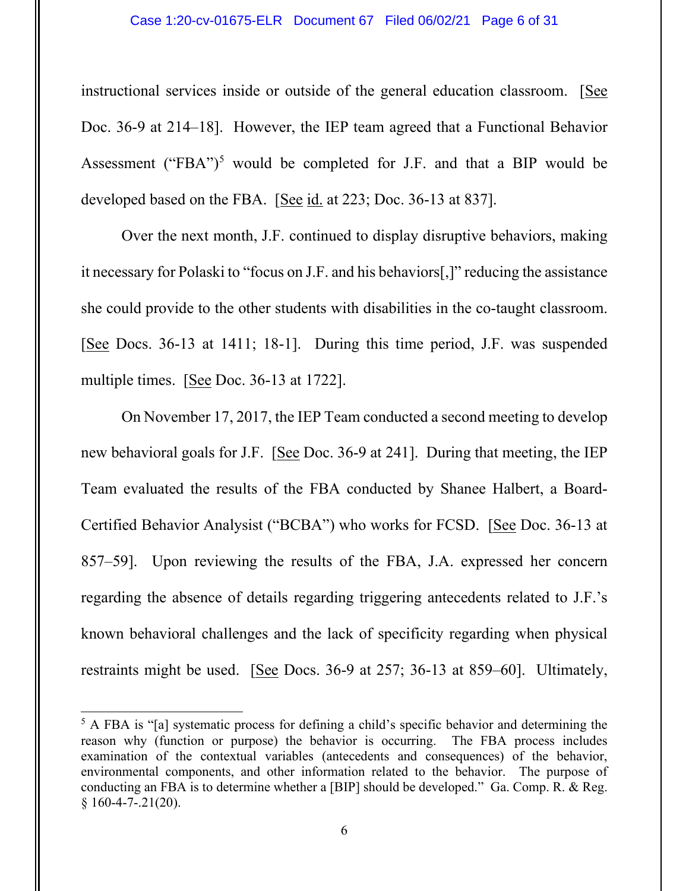instructional services inside or outside of the general education classroom. [See Doc. 36-9 at 214–18]. However, the IEP team agreed that a Functional Behavior Assessment ("FBA")<sup>[5](#page-5-0)</sup> would be completed for J.F. and that a BIP would be developed based on the FBA. [See id. at 223; Doc. 36-13 at 837].

Over the next month, J.F. continued to display disruptive behaviors, making it necessary for Polaski to "focus on J.F. and his behaviors[,]" reducing the assistance she could provide to the other students with disabilities in the co-taught classroom. [See Docs. 36-13 at 1411; 18-1]. During this time period, J.F. was suspended multiple times. [See Doc. 36-13 at 1722].

On November 17, 2017, the IEP Team conducted a second meeting to develop new behavioral goals for J.F. [See Doc. 36-9 at 241]. During that meeting, the IEP Team evaluated the results of the FBA conducted by Shanee Halbert, a Board-Certified Behavior Analysist ("BCBA") who works for FCSD. [See Doc. 36-13 at 857–59]. Upon reviewing the results of the FBA, J.A. expressed her concern regarding the absence of details regarding triggering antecedents related to J.F.'s known behavioral challenges and the lack of specificity regarding when physical restraints might be used. [See Docs. 36-9 at 257; 36-13 at 859–60]. Ultimately,

<span id="page-5-0"></span><sup>&</sup>lt;sup>5</sup> A FBA is "[a] systematic process for defining a child's specific behavior and determining the reason why (function or purpose) the behavior is occurring. The FBA process includes examination of the contextual variables (antecedents and consequences) of the behavior, environmental components, and other information related to the behavior. The purpose of conducting an FBA is to determine whether a [BIP] should be developed." Ga. Comp. R. & Reg.  $§ 160-4-7-.21(20).$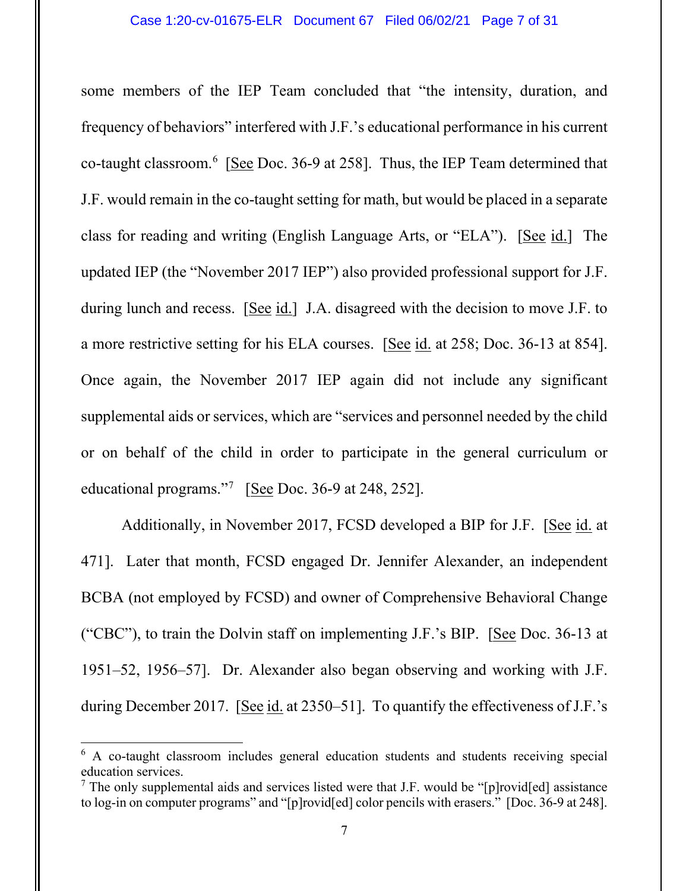some members of the IEP Team concluded that "the intensity, duration, and frequency of behaviors" interfered with J.F.'s educational performance in his current co-taught classroom.<sup>[6](#page-6-0)</sup> [See Doc. 36-9 at 258]. Thus, the IEP Team determined that J.F. would remain in the co-taught setting for math, but would be placed in a separate class for reading and writing (English Language Arts, or "ELA"). [See id.] The updated IEP (the "November 2017 IEP") also provided professional support for J.F. during lunch and recess. [See id.] J.A. disagreed with the decision to move J.F. to a more restrictive setting for his ELA courses. [See id. at 258; Doc. 36-13 at 854]. Once again, the November 2017 IEP again did not include any significant supplemental aids or services, which are "services and personnel needed by the child or on behalf of the child in order to participate in the general curriculum or educational programs."<sup>[7](#page-6-1)</sup> [See Doc. 36-9 at 248, 252].

Additionally, in November 2017, FCSD developed a BIP for J.F. [See id. at 471]. Later that month, FCSD engaged Dr. Jennifer Alexander, an independent BCBA (not employed by FCSD) and owner of Comprehensive Behavioral Change ("CBC"), to train the Dolvin staff on implementing J.F.'s BIP. [See Doc. 36-13 at 1951–52, 1956–57]. Dr. Alexander also began observing and working with J.F. during December 2017. [See id. at 2350–51]. To quantify the effectiveness of J.F.'s

<span id="page-6-0"></span> $6$  A co-taught classroom includes general education students and students receiving special education services.<br><sup>7</sup> The only supplemental aids and services listed were that J.F. would be "[p]rovid[ed] assistance

<span id="page-6-1"></span>to log-in on computer programs" and "[p]rovid[ed] color pencils with erasers." [Doc. 36-9 at 248].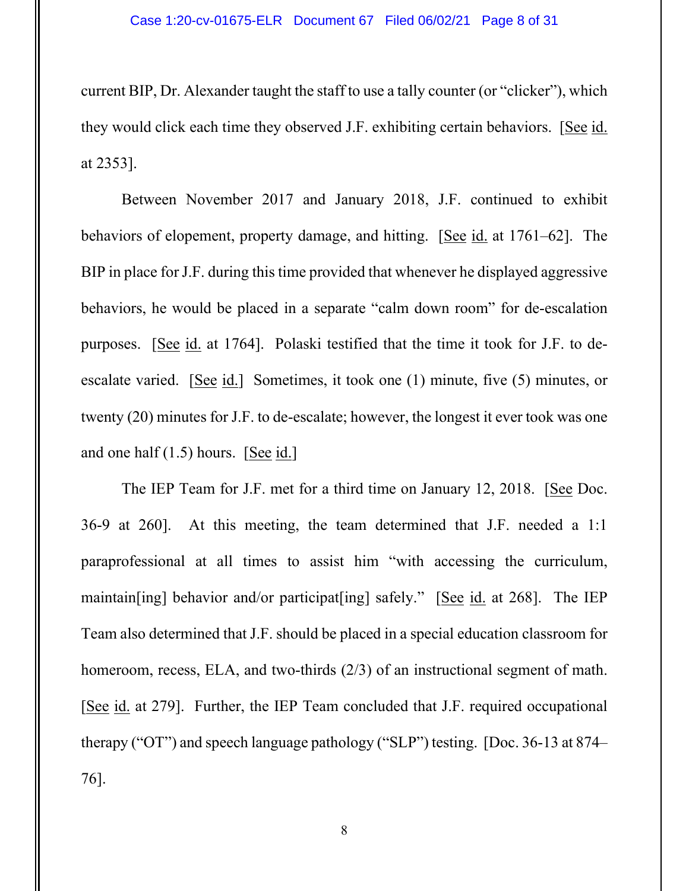current BIP, Dr. Alexander taught the staff to use a tally counter (or "clicker"), which they would click each time they observed J.F. exhibiting certain behaviors. [See id. at 2353].

Between November 2017 and January 2018, J.F. continued to exhibit behaviors of elopement, property damage, and hitting. [See id. at 1761–62]. The BIP in place for J.F. during this time provided that whenever he displayed aggressive behaviors, he would be placed in a separate "calm down room" for de-escalation purposes. [See id. at 1764]. Polaski testified that the time it took for J.F. to deescalate varied. [See id.] Sometimes, it took one (1) minute, five (5) minutes, or twenty (20) minutes for J.F. to de-escalate; however, the longest it ever took was one and one half (1.5) hours. [See id.]

The IEP Team for J.F. met for a third time on January 12, 2018. [See Doc. 36-9 at 260]. At this meeting, the team determined that J.F. needed a 1:1 paraprofessional at all times to assist him "with accessing the curriculum, maintain[ing] behavior and/or participat[ing] safely." [See id. at 268]. The IEP Team also determined that J.F. should be placed in a special education classroom for homeroom, recess, ELA, and two-thirds (2/3) of an instructional segment of math. [See id. at 279]. Further, the IEP Team concluded that J.F. required occupational therapy ("OT") and speech language pathology ("SLP") testing. [Doc. 36-13 at 874– 76].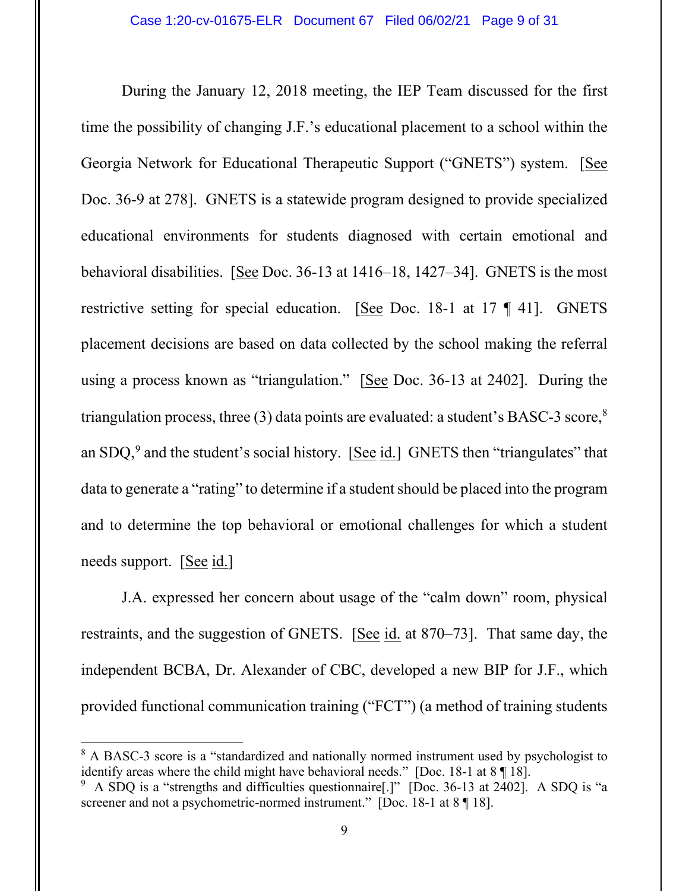During the January 12, 2018 meeting, the IEP Team discussed for the first time the possibility of changing J.F.'s educational placement to a school within the Georgia Network for Educational Therapeutic Support ("GNETS") system. [See Doc. 36-9 at 278]. GNETS is a statewide program designed to provide specialized educational environments for students diagnosed with certain emotional and behavioral disabilities. [See Doc. 36-13 at 1416–18, 1427–34]. GNETS is the most restrictive setting for special education. [See Doc. 18-1 at 17 ¶ 41]. GNETS placement decisions are based on data collected by the school making the referral using a process known as "triangulation." [See Doc. 36-13 at 2402]. During the triangulation process, three (3) data points are evaluated: a student's BASC-3 score,<sup>8</sup> an SDQ,<sup>[9](#page-8-1)</sup> and the student's social history. [See id.] GNETS then "triangulates" that data to generate a "rating" to determine if a student should be placed into the program and to determine the top behavioral or emotional challenges for which a student needs support. [See id.]

J.A. expressed her concern about usage of the "calm down" room, physical restraints, and the suggestion of GNETS. [See id. at 870–73]. That same day, the independent BCBA, Dr. Alexander of CBC, developed a new BIP for J.F., which provided functional communication training ("FCT") (a method of training students

<span id="page-8-0"></span><sup>&</sup>lt;sup>8</sup> A BASC-3 score is a "standardized and nationally normed instrument used by psychologist to identify areas where the child might have behavioral needs." [Doc. 18-1 at 8 ¶ 18].

<span id="page-8-1"></span><sup>&</sup>lt;sup>9</sup> A SDQ is a "strengths and difficulties questionnaire[.]" [Doc. 36-13 at 2402]. A SDQ is "a screener and not a psychometric-normed instrument." [Doc. 18-1 at 8 ¶ 18].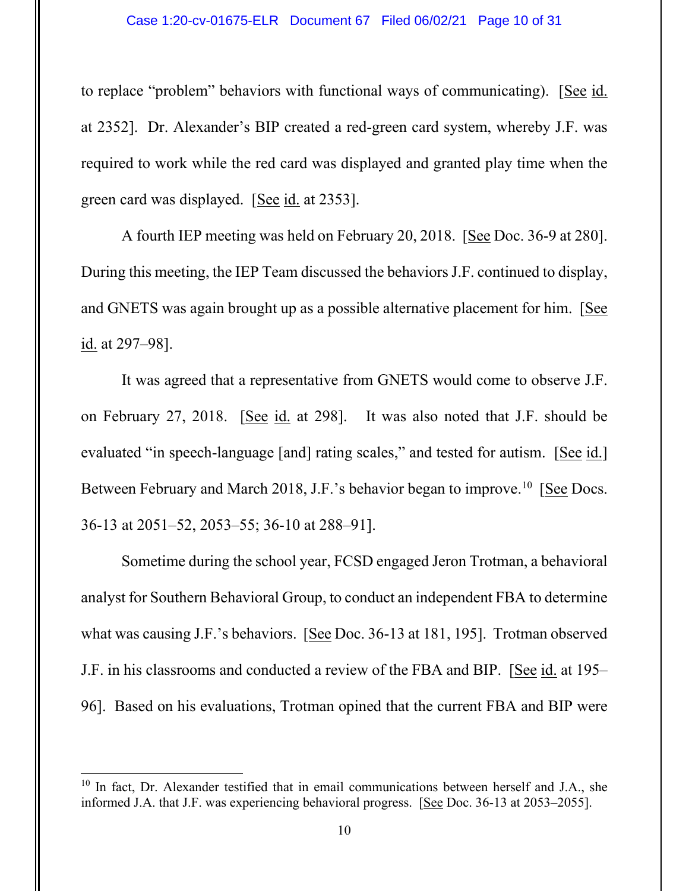to replace "problem" behaviors with functional ways of communicating). [See id. at 2352]. Dr. Alexander's BIP created a red-green card system, whereby J.F. was required to work while the red card was displayed and granted play time when the green card was displayed. [See id. at 2353].

A fourth IEP meeting was held on February 20, 2018. [See Doc. 36-9 at 280]. During this meeting, the IEP Team discussed the behaviors J.F. continued to display, and GNETS was again brought up as a possible alternative placement for him. [See id. at 297–98].

It was agreed that a representative from GNETS would come to observe J.F. on February 27, 2018. [See id. at 298]. It was also noted that J.F. should be evaluated "in speech-language [and] rating scales," and tested for autism. [See id.] Between February and March 2018, J.F.'s behavior began to improve.<sup>[10](#page-9-0)</sup> [See Docs. 36-13 at 2051–52, 2053–55; 36-10 at 288–91].

Sometime during the school year, FCSD engaged Jeron Trotman, a behavioral analyst for Southern Behavioral Group, to conduct an independent FBA to determine what was causing J.F.'s behaviors. [See Doc. 36-13 at 181, 195]. Trotman observed J.F. in his classrooms and conducted a review of the FBA and BIP. [See id. at 195– 96]. Based on his evaluations, Trotman opined that the current FBA and BIP were

<span id="page-9-0"></span> $10$  In fact, Dr. Alexander testified that in email communications between herself and J.A., she informed J.A. that J.F. was experiencing behavioral progress. [See Doc. 36-13 at 2053–2055].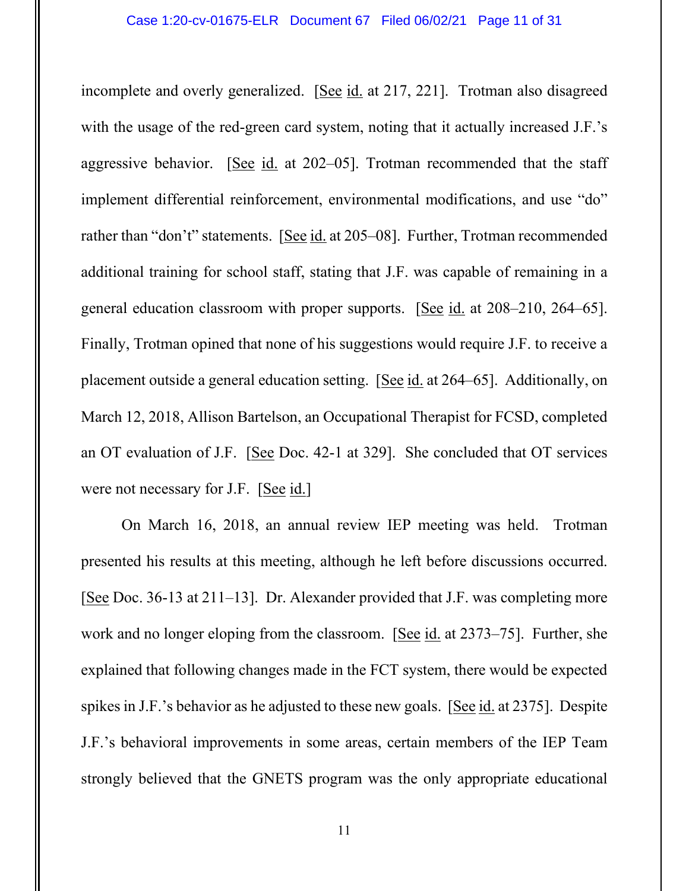incomplete and overly generalized. [See id. at 217, 221]. Trotman also disagreed with the usage of the red-green card system, noting that it actually increased J.F.'s aggressive behavior. [See id. at 202–05]. Trotman recommended that the staff implement differential reinforcement, environmental modifications, and use "do" rather than "don't" statements. [See id. at 205–08]. Further, Trotman recommended additional training for school staff, stating that J.F. was capable of remaining in a general education classroom with proper supports. [See id. at 208–210, 264–65]. Finally, Trotman opined that none of his suggestions would require J.F. to receive a placement outside a general education setting. [See id. at 264–65]. Additionally, on March 12, 2018, Allison Bartelson, an Occupational Therapist for FCSD, completed an OT evaluation of J.F. [See Doc. 42-1 at 329]. She concluded that OT services were not necessary for J.F. [See id.]

On March 16, 2018, an annual review IEP meeting was held. Trotman presented his results at this meeting, although he left before discussions occurred. [See Doc. 36-13 at 211–13]. Dr. Alexander provided that J.F. was completing more work and no longer eloping from the classroom. [See id. at 2373–75]. Further, she explained that following changes made in the FCT system, there would be expected spikes in J.F.'s behavior as he adjusted to these new goals. [See id. at 2375]. Despite J.F.'s behavioral improvements in some areas, certain members of the IEP Team strongly believed that the GNETS program was the only appropriate educational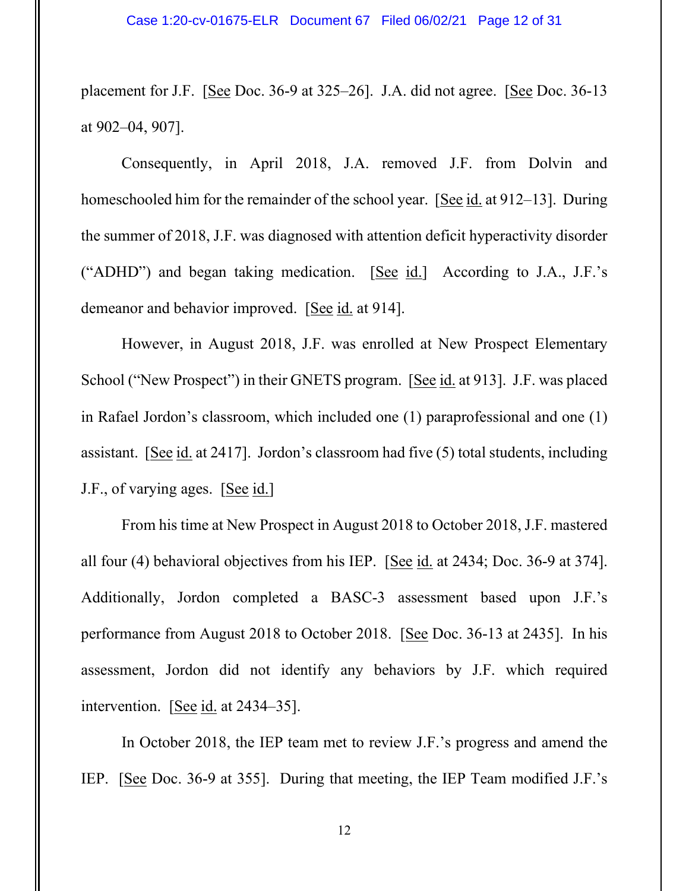placement for J.F. [See Doc. 36-9 at 325–26]. J.A. did not agree. [See Doc. 36-13 at 902–04, 907].

Consequently, in April 2018, J.A. removed J.F. from Dolvin and homeschooled him for the remainder of the school year. [See id. at 912–13]. During the summer of 2018, J.F. was diagnosed with attention deficit hyperactivity disorder ("ADHD") and began taking medication. [See id.] According to J.A., J.F.'s demeanor and behavior improved. [See id. at 914].

However, in August 2018, J.F. was enrolled at New Prospect Elementary School ("New Prospect") in their GNETS program. [See id. at 913]. J.F. was placed in Rafael Jordon's classroom, which included one (1) paraprofessional and one (1) assistant. [See id. at 2417]. Jordon's classroom had five (5) total students, including J.F., of varying ages. [See id.]

From his time at New Prospect in August 2018 to October 2018, J.F. mastered all four (4) behavioral objectives from his IEP. [See id. at 2434; Doc. 36-9 at 374]. Additionally, Jordon completed a BASC-3 assessment based upon J.F.'s performance from August 2018 to October 2018. [See Doc. 36-13 at 2435]. In his assessment, Jordon did not identify any behaviors by J.F. which required intervention. [See id. at 2434–35].

In October 2018, the IEP team met to review J.F.'s progress and amend the IEP. [See Doc. 36-9 at 355]. During that meeting, the IEP Team modified J.F.'s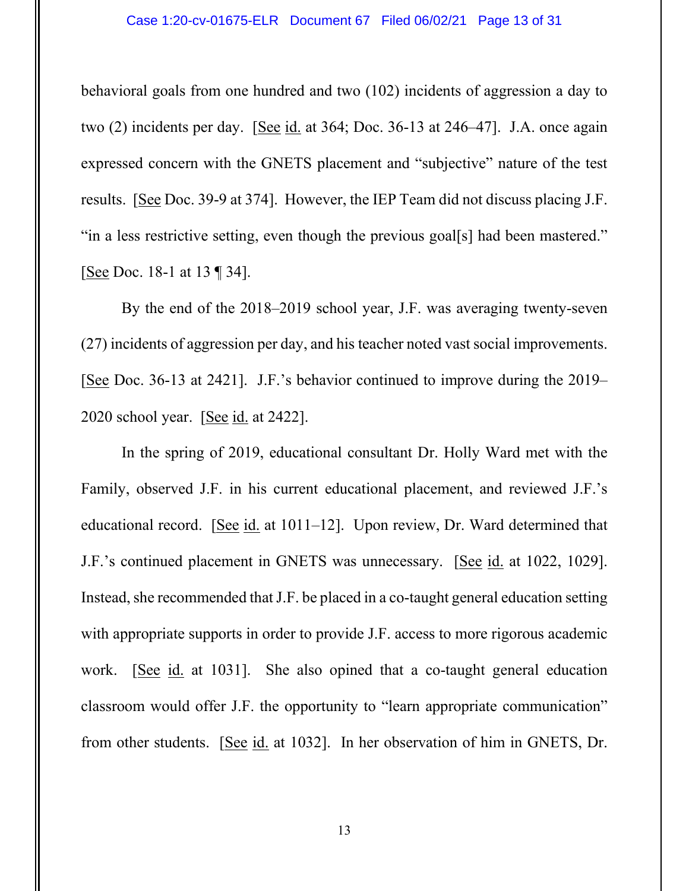#### Case 1:20-cv-01675-ELR Document 67 Filed 06/02/21 Page 13 of 31

behavioral goals from one hundred and two (102) incidents of aggression a day to two (2) incidents per day. [See id. at 364; Doc. 36-13 at 246–47]. J.A. once again expressed concern with the GNETS placement and "subjective" nature of the test results. [See Doc. 39-9 at 374]. However, the IEP Team did not discuss placing J.F. "in a less restrictive setting, even though the previous goal[s] had been mastered." [See Doc. 18-1 at 13 ¶ 34].

By the end of the 2018–2019 school year, J.F. was averaging twenty-seven (27) incidents of aggression per day, and his teacher noted vast social improvements. [See Doc. 36-13 at 2421]. J.F.'s behavior continued to improve during the 2019– 2020 school year. [See id. at 2422].

In the spring of 2019, educational consultant Dr. Holly Ward met with the Family, observed J.F. in his current educational placement, and reviewed J.F.'s educational record. [See id. at 1011–12]. Upon review, Dr. Ward determined that J.F.'s continued placement in GNETS was unnecessary. [See id. at 1022, 1029]. Instead, she recommended that J.F. be placed in a co-taught general education setting with appropriate supports in order to provide J.F. access to more rigorous academic work. [See id. at 1031]. She also opined that a co-taught general education classroom would offer J.F. the opportunity to "learn appropriate communication" from other students. [See id. at 1032]. In her observation of him in GNETS, Dr.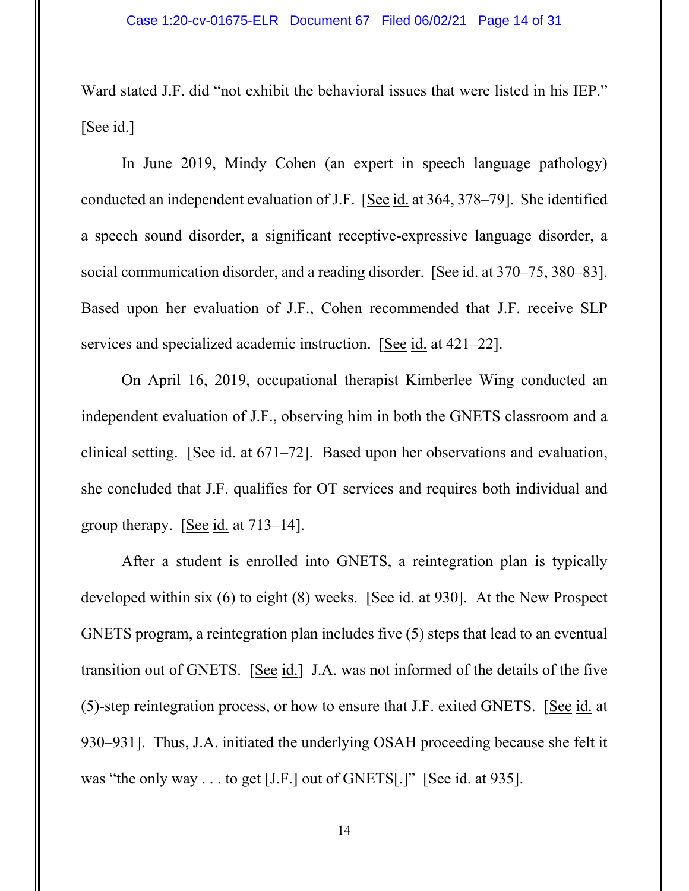Ward stated J.F. did "not exhibit the behavioral issues that were listed in his IEP." [See id.]

In June 2019, Mindy Cohen (an expert in speech language pathology) conducted an independent evaluation of J.F. [See id. at 364, 378–79]. She identified a speech sound disorder, a significant receptive-expressive language disorder, a social communication disorder, and a reading disorder. [See id. at 370–75, 380–83]. Based upon her evaluation of J.F., Cohen recommended that J.F. receive SLP services and specialized academic instruction. [See id. at 421–22].

On April 16, 2019, occupational therapist Kimberlee Wing conducted an independent evaluation of J.F., observing him in both the GNETS classroom and a clinical setting. [See id. at 671–72]. Based upon her observations and evaluation, she concluded that J.F. qualifies for OT services and requires both individual and group therapy. [See id. at 713–14].

After a student is enrolled into GNETS, a reintegration plan is typically developed within six (6) to eight (8) weeks. [See id. at 930]. At the New Prospect GNETS program, a reintegration plan includes five (5) steps that lead to an eventual transition out of GNETS. [See id.] J.A. was not informed of the details of the five (5)-step reintegration process, or how to ensure that J.F. exited GNETS. [See id. at 930–931]. Thus, J.A. initiated the underlying OSAH proceeding because she felt it was "the only way . . . to get [J.F.] out of GNETS[.]" [See id. at 935].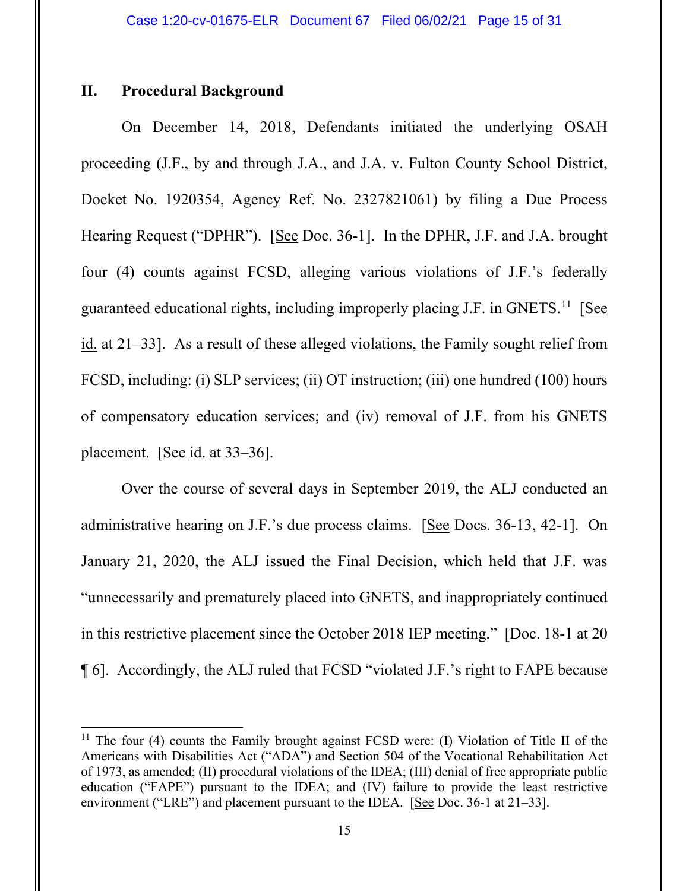## **II. Procedural Background**

On December 14, 2018, Defendants initiated the underlying OSAH proceeding (J.F., by and through J.A., and J.A. v. Fulton County School District, Docket No. 1920354, Agency Ref. No. 2327821061) by filing a Due Process Hearing Request ("DPHR"). [See Doc. 36-1]. In the DPHR, J.F. and J.A. brought four (4) counts against FCSD, alleging various violations of J.F.'s federally guaranteed educational rights, including improperly placing J.F. in GNETS.<sup>[11](#page-14-0)</sup> [See id. at 21–33]. As a result of these alleged violations, the Family sought relief from FCSD, including: (i) SLP services; (ii) OT instruction; (iii) one hundred (100) hours of compensatory education services; and (iv) removal of J.F. from his GNETS placement. [See id. at 33–36].

Over the course of several days in September 2019, the ALJ conducted an administrative hearing on J.F.'s due process claims. [See Docs. 36-13, 42-1]. On January 21, 2020, the ALJ issued the Final Decision, which held that J.F. was "unnecessarily and prematurely placed into GNETS, and inappropriately continued in this restrictive placement since the October 2018 IEP meeting." [Doc. 18-1 at 20 ¶ 6]. Accordingly, the ALJ ruled that FCSD "violated J.F.'s right to FAPE because

<span id="page-14-0"></span><sup>&</sup>lt;sup>11</sup> The four (4) counts the Family brought against FCSD were: (I) Violation of Title II of the Americans with Disabilities Act ("ADA") and Section 504 of the Vocational Rehabilitation Act of 1973, as amended; (II) procedural violations of the IDEA; (III) denial of free appropriate public education ("FAPE") pursuant to the IDEA; and (IV) failure to provide the least restrictive environment ("LRE") and placement pursuant to the IDEA. [See Doc. 36-1 at 21–33].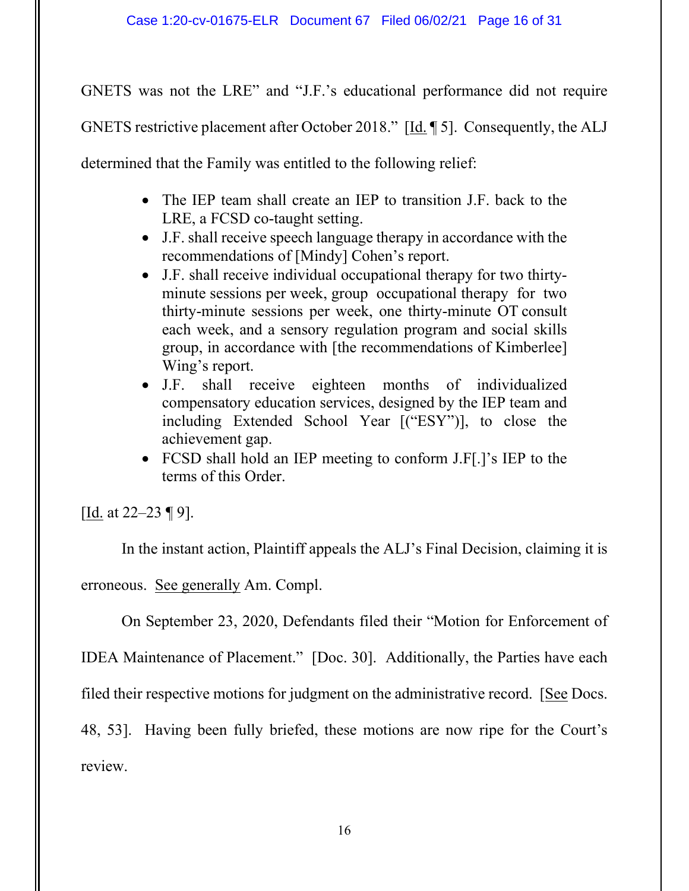GNETS was not the LRE" and "J.F.'s educational performance did not require

GNETS restrictive placement after October 2018." [Id. ¶ 5]. Consequently, the ALJ

determined that the Family was entitled to the following relief:

- The IEP team shall create an IEP to transition J.F. back to the LRE, a FCSD co-taught setting.
- J.F. shall receive speech language therapy in accordance with the recommendations of [Mindy] Cohen's report.
- J.F. shall receive individual occupational therapy for two thirtyminute sessions per week, group occupational therapy for two thirty-minute sessions per week, one thirty-minute OT consult each week, and a sensory regulation program and social skills group, in accordance with [the recommendations of Kimberlee] Wing's report.
- J.F. shall receive eighteen months of individualized compensatory education services, designed by the IEP team and including Extended School Year [("ESY")], to close the achievement gap.
- FCSD shall hold an IEP meeting to conform J.F[.]'s IEP to the terms of this Order.

[Id. at 22–23 ¶ 9].

In the instant action, Plaintiff appeals the ALJ's Final Decision, claiming it is

erroneous. See generally Am. Compl.

On September 23, 2020, Defendants filed their "Motion for Enforcement of

IDEA Maintenance of Placement." [Doc. 30]. Additionally, the Parties have each

filed their respective motions for judgment on the administrative record. [See Docs.

48, 53]. Having been fully briefed, these motions are now ripe for the Court's review.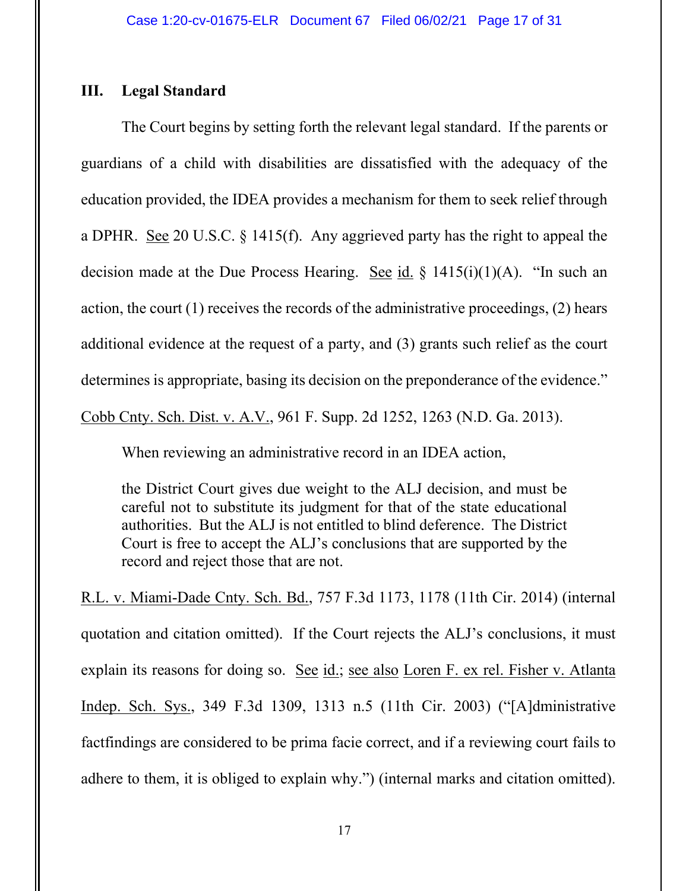## **III. Legal Standard**

The Court begins by setting forth the relevant legal standard. If the parents or guardians of a child with disabilities are dissatisfied with the adequacy of the education provided, the IDEA provides a mechanism for them to seek relief through a DPHR. See 20 U.S.C. § 1415(f). Any aggrieved party has the right to appeal the decision made at the Due Process Hearing. See id.  $\S$  1415(i)(1)(A). "In such an action, the court (1) receives the records of the administrative proceedings, (2) hears additional evidence at the request of a party, and (3) grants such relief as the court determines is appropriate, basing its decision on the preponderance of the evidence." Cobb Cnty. Sch. Dist. v. A.V., 961 F. Supp. 2d 1252, 1263 (N.D. Ga. 2013).

When reviewing an administrative record in an IDEA action,

the District Court gives due weight to the ALJ decision, and must be careful not to substitute its judgment for that of the state educational authorities. But the ALJ is not entitled to blind deference. The District Court is free to accept the ALJ's conclusions that are supported by the record and reject those that are not.

R.L. v. Miami-Dade Cnty. Sch. Bd., 757 F.3d 1173, 1178 (11th Cir. 2014) (internal quotation and citation omitted). If the Court rejects the ALJ's conclusions, it must explain its reasons for doing so. See id.; see also Loren F. ex rel. Fisher v. Atlanta Indep. Sch. Sys., 349 F.3d 1309, 1313 n.5 (11th Cir. 2003) ("[A]dministrative factfindings are considered to be prima facie correct, and if a reviewing court fails to adhere to them, it is obliged to explain why.") (internal marks and citation omitted).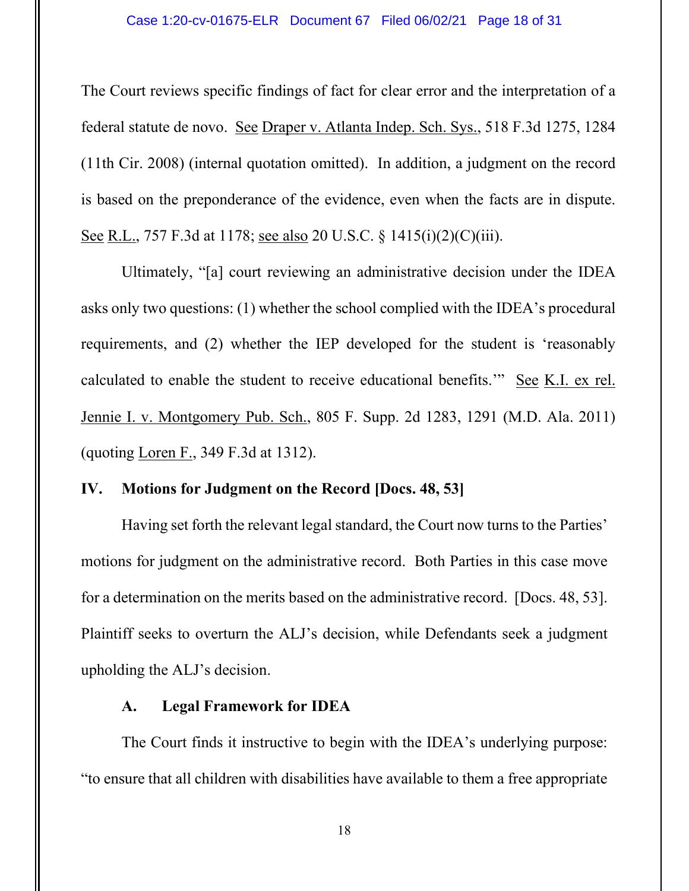The Court reviews specific findings of fact for clear error and the interpretation of a federal statute de novo. See Draper v. Atlanta Indep. Sch. Sys., 518 F.3d 1275, 1284 (11th Cir. 2008) (internal quotation omitted). In addition, a judgment on the record is based on the preponderance of the evidence, even when the facts are in dispute. See R.L., 757 F.3d at 1178; see also 20 U.S.C. § 1415(i)(2)(C)(iii).

Ultimately, "[a] court reviewing an administrative decision under the IDEA asks only two questions: (1) whether the school complied with the IDEA's procedural requirements, and (2) whether the IEP developed for the student is 'reasonably calculated to enable the student to receive educational benefits.'" See K.I. ex rel. Jennie I. v. Montgomery Pub. Sch., 805 F. Supp. 2d 1283, 1291 (M.D. Ala. 2011) (quoting Loren F., 349 F.3d at 1312).

## **IV. Motions for Judgment on the Record [Docs. 48, 53]**

Having set forth the relevant legal standard, the Court now turns to the Parties' motions for judgment on the administrative record. Both Parties in this case move for a determination on the merits based on the administrative record. [Docs. 48, 53]. Plaintiff seeks to overturn the ALJ's decision, while Defendants seek a judgment upholding the ALJ's decision.

### **A. Legal Framework for IDEA**

The Court finds it instructive to begin with the IDEA's underlying purpose: "to ensure that all children with disabilities have available to them a free appropriate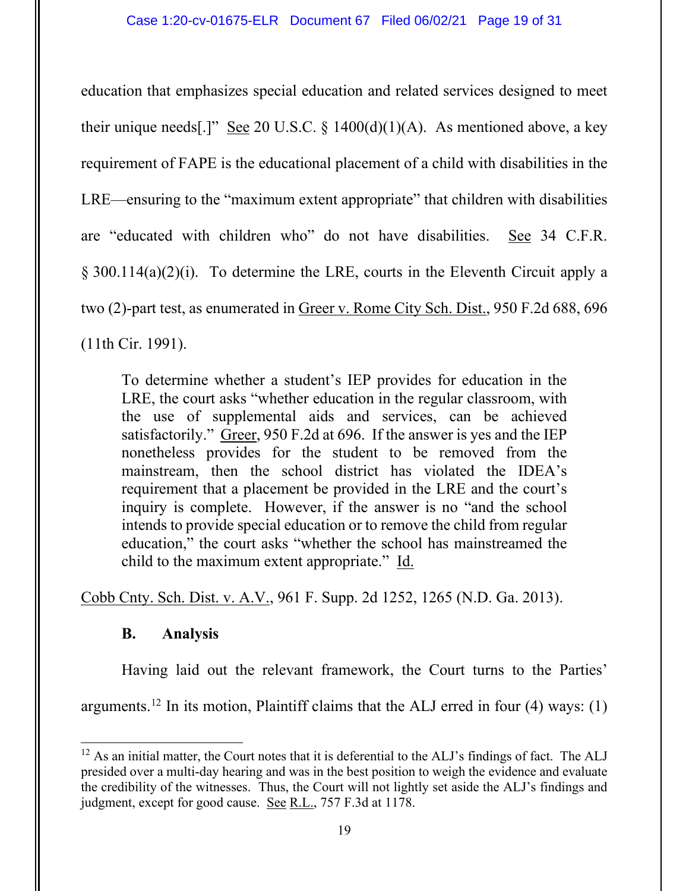education that emphasizes special education and related services designed to meet their unique needs[.]" See 20 U.S.C.  $\S$  1400(d)(1)(A). As mentioned above, a key requirement of FAPE is the educational placement of a child with disabilities in the LRE—ensuring to the "maximum extent appropriate" that children with disabilities are "educated with children who" do not have disabilities. See 34 C.F.R. § 300.114(a)(2)(i). To determine the LRE, courts in the Eleventh Circuit apply a two (2)-part test, as enumerated in Greer v. Rome City Sch. Dist., 950 F.2d 688, 696 (11th Cir. 1991).

To determine whether a student's IEP provides for education in the LRE, the court asks "whether education in the regular classroom, with the use of supplemental aids and services, can be achieved satisfactorily." Greer, 950 F.2d at 696. If the answer is yes and the IEP nonetheless provides for the student to be removed from the mainstream, then the school district has violated the IDEA's requirement that a placement be provided in the LRE and the court's inquiry is complete. However, if the answer is no "and the school intends to provide special education or to remove the child from regular education," the court asks "whether the school has mainstreamed the child to the maximum extent appropriate." Id.

Cobb Cnty. Sch. Dist. v. A.V., 961 F. Supp. 2d 1252, 1265 (N.D. Ga. 2013).

## **B. Analysis**

Having laid out the relevant framework, the Court turns to the Parties' arguments.<sup>[12](#page-18-0)</sup> In its motion, Plaintiff claims that the ALJ erred in four (4) ways: (1)

<span id="page-18-0"></span> $12$  As an initial matter, the Court notes that it is deferential to the ALJ's findings of fact. The ALJ presided over a multi-day hearing and was in the best position to weigh the evidence and evaluate the credibility of the witnesses. Thus, the Court will not lightly set aside the ALJ's findings and judgment, except for good cause. See R.L., 757 F.3d at 1178.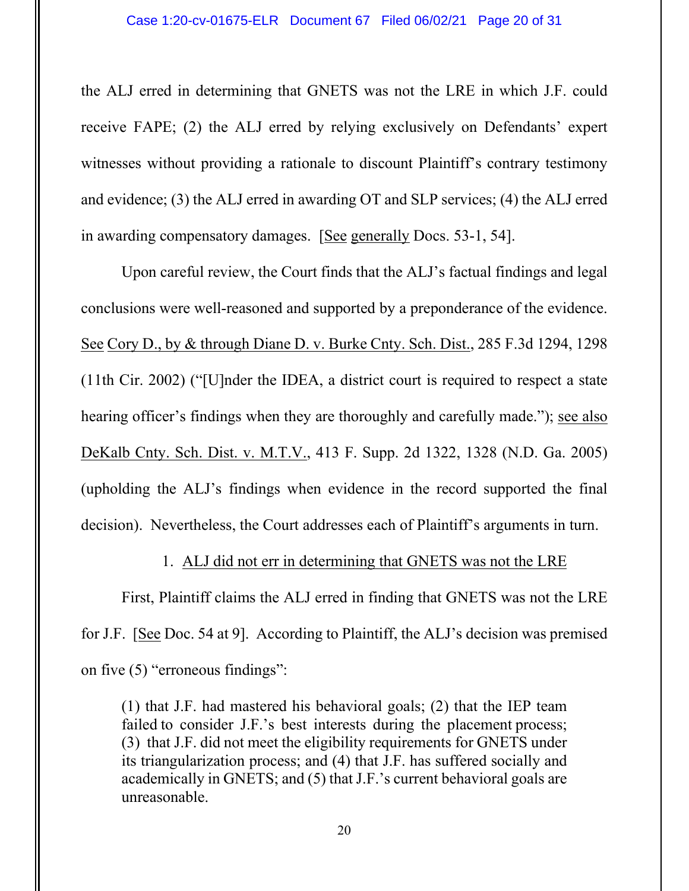the ALJ erred in determining that GNETS was not the LRE in which J.F. could receive FAPE; (2) the ALJ erred by relying exclusively on Defendants' expert witnesses without providing a rationale to discount Plaintiff's contrary testimony and evidence; (3) the ALJ erred in awarding OT and SLP services; (4) the ALJ erred in awarding compensatory damages. [See generally Docs. 53-1, 54].

Upon careful review, the Court finds that the ALJ's factual findings and legal conclusions were well-reasoned and supported by a preponderance of the evidence. See Cory D., by & through Diane D. v. Burke Cnty. Sch. Dist., 285 F.3d 1294, 1298 (11th Cir. 2002) ("[U]nder the IDEA, a district court is required to respect a state hearing officer's findings when they are thoroughly and carefully made."); see also DeKalb Cnty. Sch. Dist. v. M.T.V., 413 F. Supp. 2d 1322, 1328 (N.D. Ga. 2005) (upholding the ALJ's findings when evidence in the record supported the final decision). Nevertheless, the Court addresses each of Plaintiff's arguments in turn.

## 1. ALJ did not err in determining that GNETS was not the LRE

First, Plaintiff claims the ALJ erred in finding that GNETS was not the LRE for J.F. [See Doc. 54 at 9]. According to Plaintiff, the ALJ's decision was premised on five (5) "erroneous findings":

(1) that J.F. had mastered his behavioral goals; (2) that the IEP team failed to consider J.F.'s best interests during the placement process; (3) that J.F. did not meet the eligibility requirements for GNETS under its triangularization process; and (4) that J.F. has suffered socially and academically in GNETS; and (5) that J.F.'s current behavioral goals are unreasonable.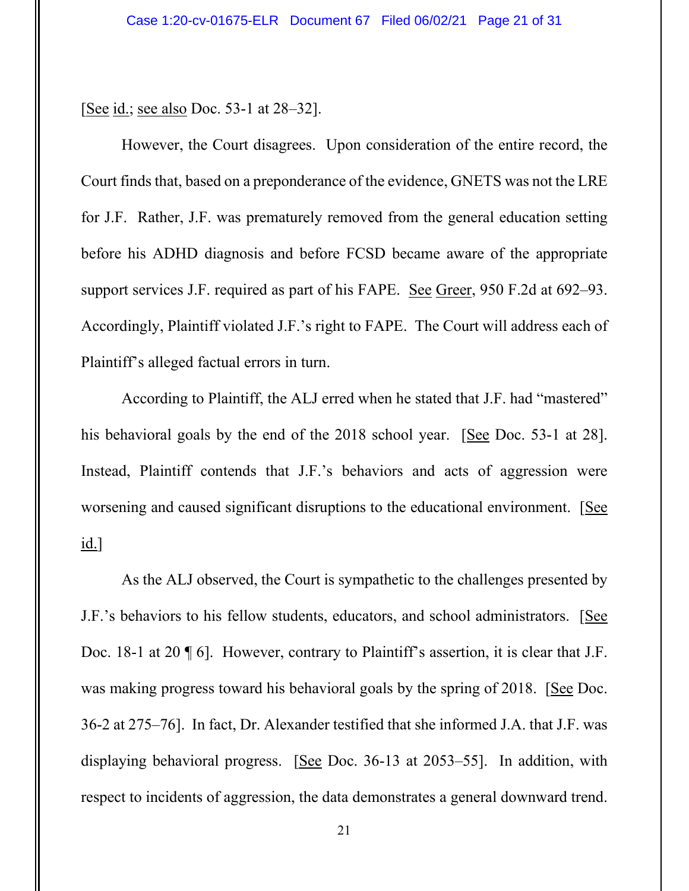[See id.; see also Doc. 53-1 at 28–32].

However, the Court disagrees. Upon consideration of the entire record, the Court finds that, based on a preponderance of the evidence, GNETS was not the LRE for J.F. Rather, J.F. was prematurely removed from the general education setting before his ADHD diagnosis and before FCSD became aware of the appropriate support services J.F. required as part of his FAPE. See Greer, 950 F.2d at 692–93. Accordingly, Plaintiff violated J.F.'s right to FAPE. The Court will address each of Plaintiff's alleged factual errors in turn.

According to Plaintiff, the ALJ erred when he stated that J.F. had "mastered" his behavioral goals by the end of the 2018 school year. [See Doc. 53-1 at 28]. Instead, Plaintiff contends that J.F.'s behaviors and acts of aggression were worsening and caused significant disruptions to the educational environment. [See id.]

As the ALJ observed, the Court is sympathetic to the challenges presented by J.F.'s behaviors to his fellow students, educators, and school administrators. [See Doc. 18-1 at 20  $\P$  6]. However, contrary to Plaintiff's assertion, it is clear that J.F. was making progress toward his behavioral goals by the spring of 2018. [See Doc. 36-2 at 275–76]. In fact, Dr. Alexander testified that she informed J.A. that J.F. was displaying behavioral progress. [See Doc. 36-13 at 2053–55]. In addition, with respect to incidents of aggression, the data demonstrates a general downward trend.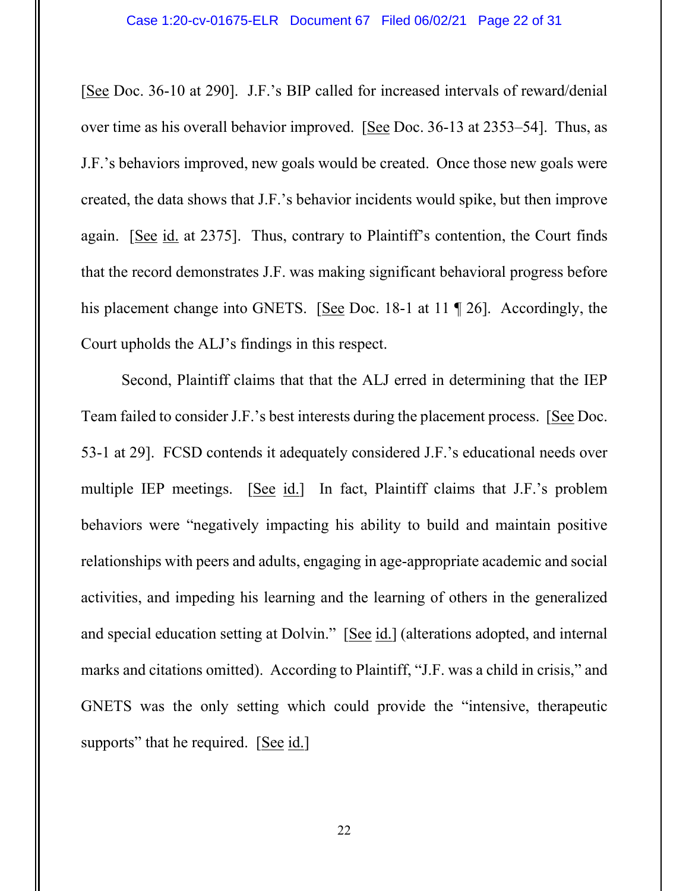[See Doc. 36-10 at 290]. J.F.'s BIP called for increased intervals of reward/denial over time as his overall behavior improved. [See Doc. 36-13 at 2353–54]. Thus, as J.F.'s behaviors improved, new goals would be created. Once those new goals were created, the data shows that J.F.'s behavior incidents would spike, but then improve again. [See id. at 2375]. Thus, contrary to Plaintiff's contention, the Court finds that the record demonstrates J.F. was making significant behavioral progress before his placement change into GNETS. [See Doc. 18-1 at 11 ¶ 26]. Accordingly, the Court upholds the ALJ's findings in this respect.

Second, Plaintiff claims that that the ALJ erred in determining that the IEP Team failed to consider J.F.'s best interests during the placement process. [See Doc. 53-1 at 29]. FCSD contends it adequately considered J.F.'s educational needs over multiple IEP meetings. [See id.] In fact, Plaintiff claims that J.F.'s problem behaviors were "negatively impacting his ability to build and maintain positive relationships with peers and adults, engaging in age-appropriate academic and social activities, and impeding his learning and the learning of others in the generalized and special education setting at Dolvin." [See id.] (alterations adopted, and internal marks and citations omitted). According to Plaintiff, "J.F. was a child in crisis," and GNETS was the only setting which could provide the "intensive, therapeutic supports" that he required. [See id.]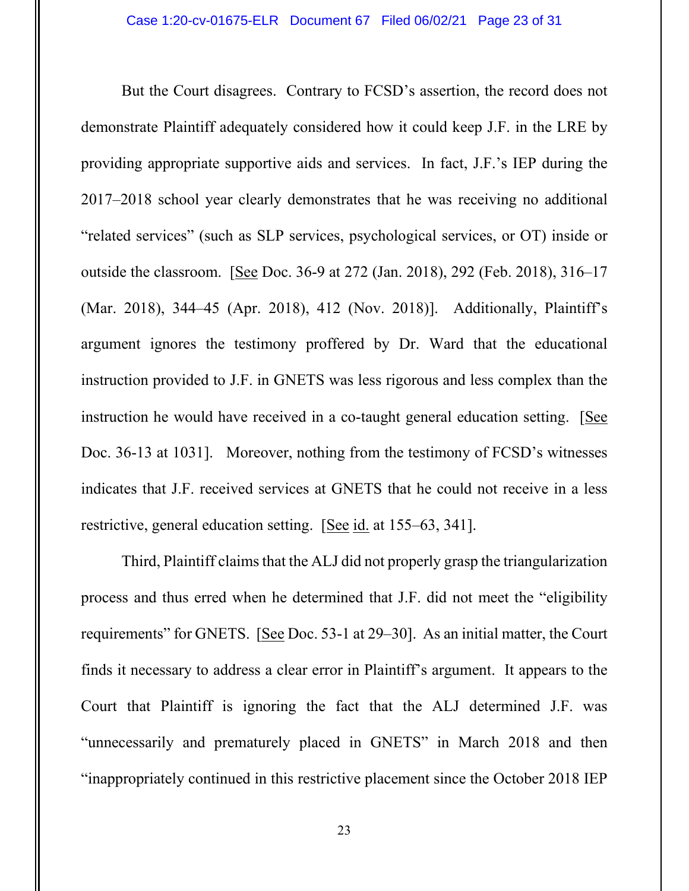But the Court disagrees. Contrary to FCSD's assertion, the record does not demonstrate Plaintiff adequately considered how it could keep J.F. in the LRE by providing appropriate supportive aids and services. In fact, J.F.'s IEP during the 2017–2018 school year clearly demonstrates that he was receiving no additional "related services" (such as SLP services, psychological services, or OT) inside or outside the classroom. [See Doc. 36-9 at 272 (Jan. 2018), 292 (Feb. 2018), 316–17 (Mar. 2018), 344–45 (Apr. 2018), 412 (Nov. 2018)]. Additionally, Plaintiff's argument ignores the testimony proffered by Dr. Ward that the educational instruction provided to J.F. in GNETS was less rigorous and less complex than the instruction he would have received in a co-taught general education setting. [See Doc. 36-13 at 1031]. Moreover, nothing from the testimony of FCSD's witnesses indicates that J.F. received services at GNETS that he could not receive in a less restrictive, general education setting. [See id. at 155–63, 341].

Third, Plaintiff claims that the ALJ did not properly grasp the triangularization process and thus erred when he determined that J.F. did not meet the "eligibility requirements" for GNETS. [See Doc. 53-1 at 29–30]. As an initial matter, the Court finds it necessary to address a clear error in Plaintiff's argument. It appears to the Court that Plaintiff is ignoring the fact that the ALJ determined J.F. was "unnecessarily and prematurely placed in GNETS" in March 2018 and then "inappropriately continued in this restrictive placement since the October 2018 IEP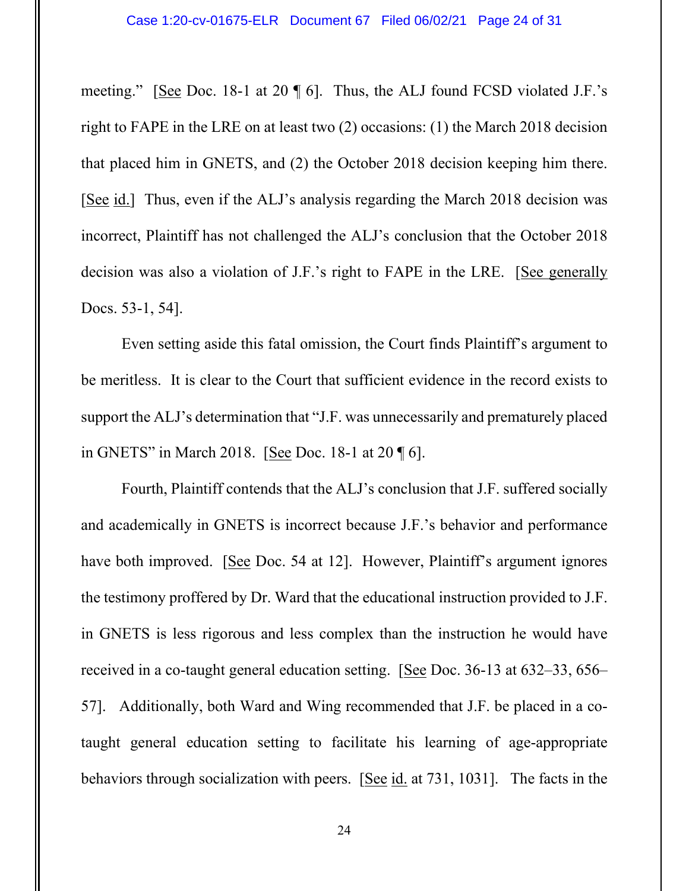meeting." [See Doc. 18-1 at 20 ¶ 6]. Thus, the ALJ found FCSD violated J.F.'s right to FAPE in the LRE on at least two (2) occasions: (1) the March 2018 decision that placed him in GNETS, and (2) the October 2018 decision keeping him there. [See id.] Thus, even if the ALJ's analysis regarding the March 2018 decision was incorrect, Plaintiff has not challenged the ALJ's conclusion that the October 2018 decision was also a violation of J.F.'s right to FAPE in the LRE. [See generally Docs. 53-1, 54].

Even setting aside this fatal omission, the Court finds Plaintiff's argument to be meritless. It is clear to the Court that sufficient evidence in the record exists to support the ALJ's determination that "J.F. was unnecessarily and prematurely placed in GNETS" in March 2018. [See Doc. 18-1 at 20 ¶ 6].

Fourth, Plaintiff contends that the ALJ's conclusion that J.F. suffered socially and academically in GNETS is incorrect because J.F.'s behavior and performance have both improved. [See Doc. 54 at 12]. However, Plaintiff's argument ignores the testimony proffered by Dr. Ward that the educational instruction provided to J.F. in GNETS is less rigorous and less complex than the instruction he would have received in a co-taught general education setting. [See Doc. 36-13 at 632–33, 656– 57]. Additionally, both Ward and Wing recommended that J.F. be placed in a cotaught general education setting to facilitate his learning of age-appropriate behaviors through socialization with peers. [See id. at 731, 1031]. The facts in the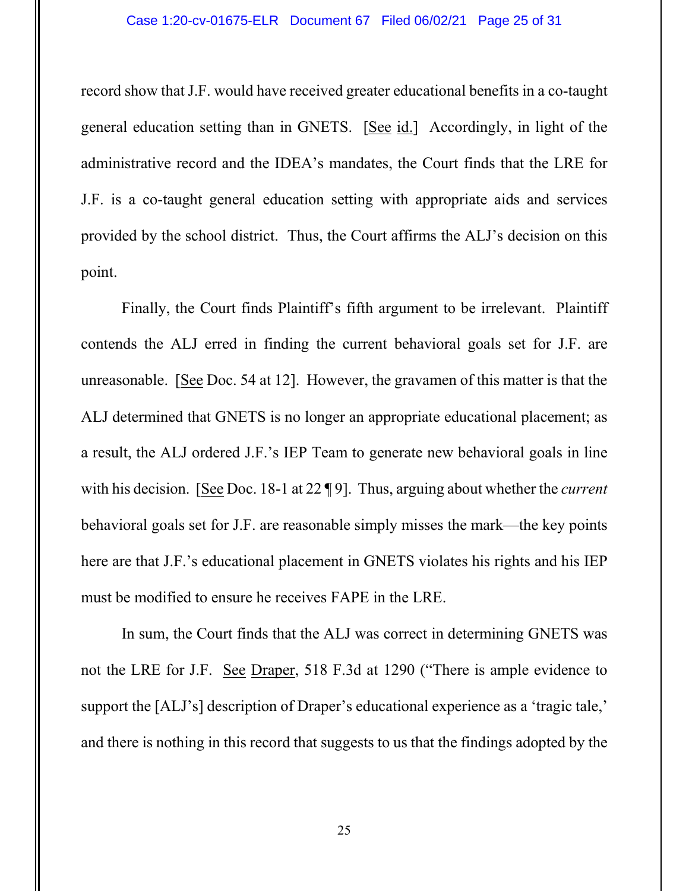#### Case 1:20-cv-01675-ELR Document 67 Filed 06/02/21 Page 25 of 31

record show that J.F. would have received greater educational benefits in a co-taught general education setting than in GNETS. [See id.] Accordingly, in light of the administrative record and the IDEA's mandates, the Court finds that the LRE for J.F. is a co-taught general education setting with appropriate aids and services provided by the school district. Thus, the Court affirms the ALJ's decision on this point.

Finally, the Court finds Plaintiff's fifth argument to be irrelevant. Plaintiff contends the ALJ erred in finding the current behavioral goals set for J.F. are unreasonable. [See Doc. 54 at 12]. However, the gravamen of this matter is that the ALJ determined that GNETS is no longer an appropriate educational placement; as a result, the ALJ ordered J.F.'s IEP Team to generate new behavioral goals in line with his decision. [See Doc. 18-1 at 22 ¶ 9]. Thus, arguing about whether the *current* behavioral goals set for J.F. are reasonable simply misses the mark—the key points here are that J.F.'s educational placement in GNETS violates his rights and his IEP must be modified to ensure he receives FAPE in the LRE.

In sum, the Court finds that the ALJ was correct in determining GNETS was not the LRE for J.F. See Draper, 518 F.3d at 1290 ("There is ample evidence to support the [ALJ's] description of Draper's educational experience as a 'tragic tale,' and there is nothing in this record that suggests to us that the findings adopted by the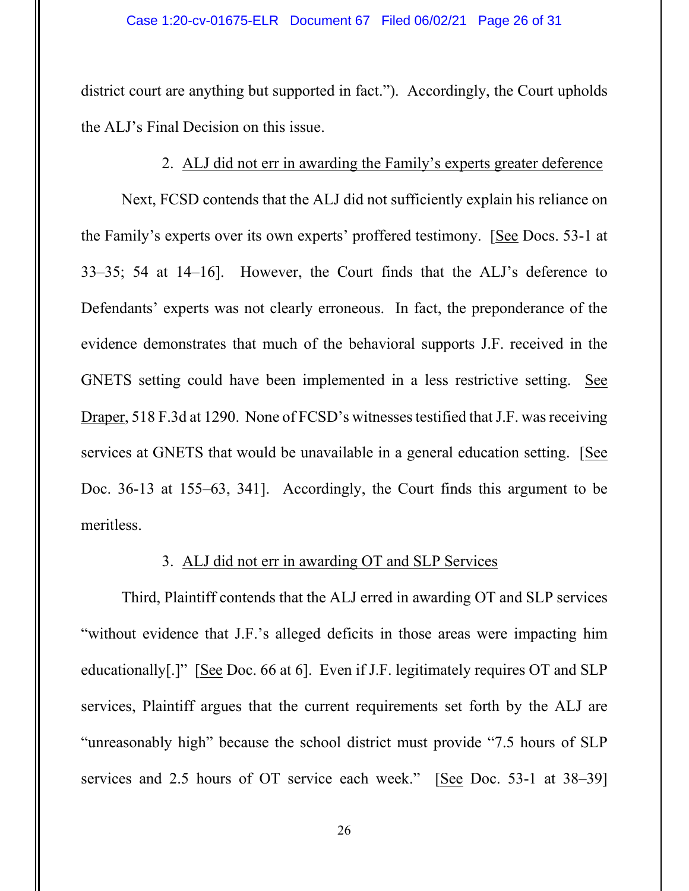district court are anything but supported in fact."). Accordingly, the Court upholds the ALJ's Final Decision on this issue.

## 2. ALJ did not err in awarding the Family's experts greater deference

Next, FCSD contends that the ALJ did not sufficiently explain his reliance on the Family's experts over its own experts' proffered testimony. [See Docs. 53-1 at 33–35; 54 at 14–16]. However, the Court finds that the ALJ's deference to Defendants' experts was not clearly erroneous. In fact, the preponderance of the evidence demonstrates that much of the behavioral supports J.F. received in the GNETS setting could have been implemented in a less restrictive setting. See Draper, 518 F.3d at 1290. None of FCSD's witnesses testified that J.F. was receiving services at GNETS that would be unavailable in a general education setting. [See Doc. 36-13 at 155–63, 341]. Accordingly, the Court finds this argument to be meritless.

#### 3. ALJ did not err in awarding OT and SLP Services

Third, Plaintiff contends that the ALJ erred in awarding OT and SLP services "without evidence that J.F.'s alleged deficits in those areas were impacting him educationally[.]" [See Doc. 66 at 6]. Even if J.F. legitimately requires OT and SLP services, Plaintiff argues that the current requirements set forth by the ALJ are "unreasonably high" because the school district must provide "7.5 hours of SLP services and 2.5 hours of OT service each week." [See Doc. 53-1 at 38–39]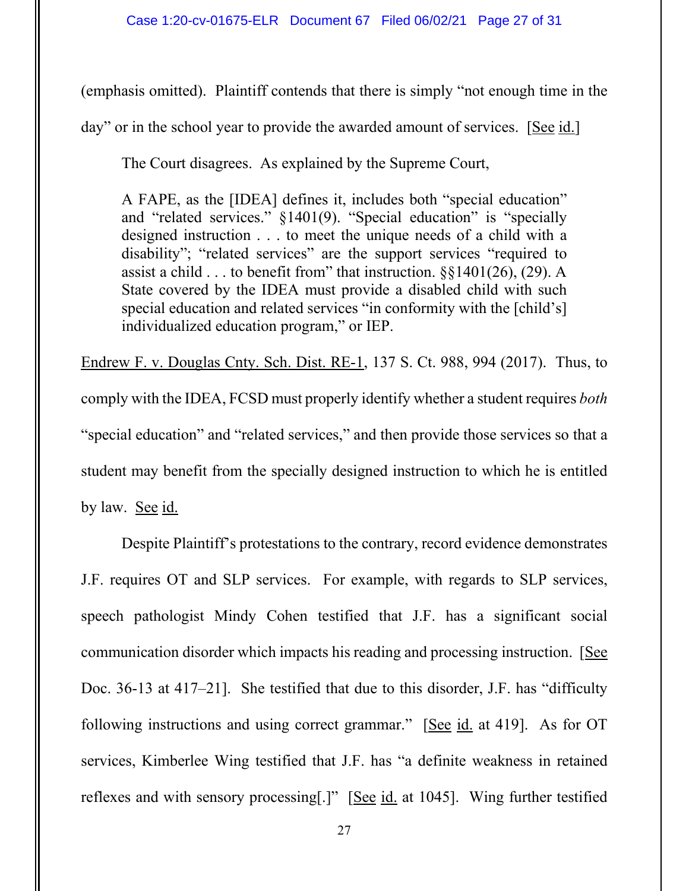(emphasis omitted). Plaintiff contends that there is simply "not enough time in the

day" or in the school year to provide the awarded amount of services. [See id.]

The Court disagrees. As explained by the Supreme Court,

A FAPE, as the [IDEA] defines it, includes both "special education" and "related services." §1401(9). "Special education" is "specially designed instruction . . . to meet the unique needs of a child with a disability"; "related services" are the support services "required to assist a child  $\dots$  to benefit from" that instruction.  $\S$ {1401(26), (29). A State covered by the IDEA must provide a disabled child with such special education and related services "in conformity with the [child's] individualized education program," or IEP.

Endrew F. v. Douglas Cnty. Sch. Dist. RE-1, 137 S. Ct. 988, 994 (2017). Thus, to comply with the IDEA, FCSD must properly identify whether a student requires *both* "special education" and "related services," and then provide those services so that a student may benefit from the specially designed instruction to which he is entitled by law. See id.

Despite Plaintiff's protestations to the contrary, record evidence demonstrates J.F. requires OT and SLP services. For example, with regards to SLP services, speech pathologist Mindy Cohen testified that J.F. has a significant social communication disorder which impacts his reading and processing instruction. [See Doc. 36-13 at 417–21]. She testified that due to this disorder, J.F. has "difficulty following instructions and using correct grammar." [See id. at 419]. As for OT services, Kimberlee Wing testified that J.F. has "a definite weakness in retained reflexes and with sensory processing.]" [See id. at 1045]. Wing further testified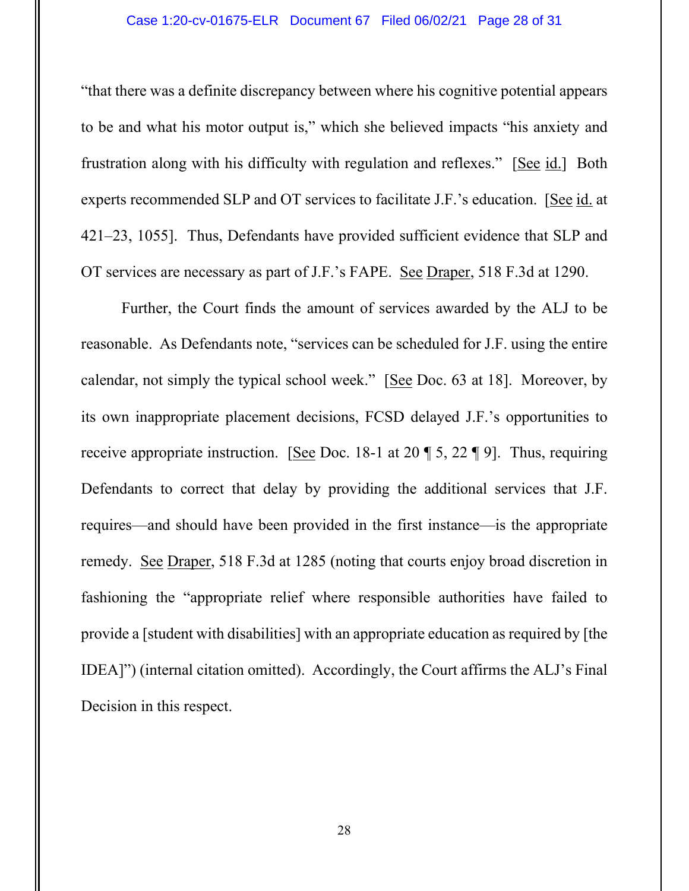#### Case 1:20-cv-01675-ELR Document 67 Filed 06/02/21 Page 28 of 31

"that there was a definite discrepancy between where his cognitive potential appears to be and what his motor output is," which she believed impacts "his anxiety and frustration along with his difficulty with regulation and reflexes." [See id.] Both experts recommended SLP and OT services to facilitate J.F.'s education. [See id. at 421–23, 1055]. Thus, Defendants have provided sufficient evidence that SLP and OT services are necessary as part of J.F.'s FAPE. See Draper, 518 F.3d at 1290.

Further, the Court finds the amount of services awarded by the ALJ to be reasonable. As Defendants note, "services can be scheduled for J.F. using the entire calendar, not simply the typical school week." [See Doc. 63 at 18]. Moreover, by its own inappropriate placement decisions, FCSD delayed J.F.'s opportunities to receive appropriate instruction. [See Doc. 18-1 at 20 ¶ 5, 22 ¶ 9]. Thus, requiring Defendants to correct that delay by providing the additional services that J.F. requires—and should have been provided in the first instance—is the appropriate remedy. See Draper, 518 F.3d at 1285 (noting that courts enjoy broad discretion in fashioning the "appropriate relief where responsible authorities have failed to provide a [student with disabilities] with an appropriate education as required by [the IDEA]") (internal citation omitted). Accordingly, the Court affirms the ALJ's Final Decision in this respect.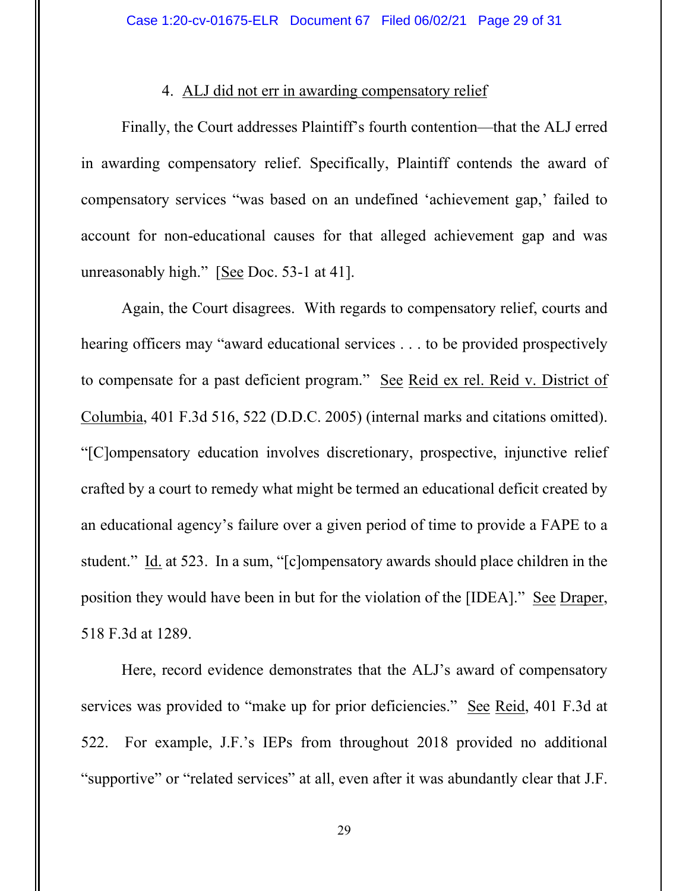### 4. ALJ did not err in awarding compensatory relief

Finally, the Court addresses Plaintiff's fourth contention—that the ALJ erred in awarding compensatory relief. Specifically, Plaintiff contends the award of compensatory services "was based on an undefined 'achievement gap,' failed to account for non-educational causes for that alleged achievement gap and was unreasonably high." [See Doc. 53-1 at 41].

Again, the Court disagrees. With regards to compensatory relief, courts and hearing officers may "award educational services . . . to be provided prospectively to compensate for a past deficient program." See Reid ex rel. Reid v. District of Columbia, 401 F.3d 516, 522 (D.D.C. 2005) (internal marks and citations omitted). "[C]ompensatory education involves discretionary, prospective, injunctive relief crafted by a court to remedy what might be termed an educational deficit created by an educational agency's failure over a given period of time to provide a FAPE to a student." Id. at 523. In a sum, "[c]ompensatory awards should place children in the position they would have been in but for the violation of the [IDEA]." See Draper, 518 F.3d at 1289.

Here, record evidence demonstrates that the ALJ's award of compensatory services was provided to "make up for prior deficiencies." See Reid, 401 F.3d at 522. For example, J.F.'s IEPs from throughout 2018 provided no additional "supportive" or "related services" at all, even after it was abundantly clear that J.F.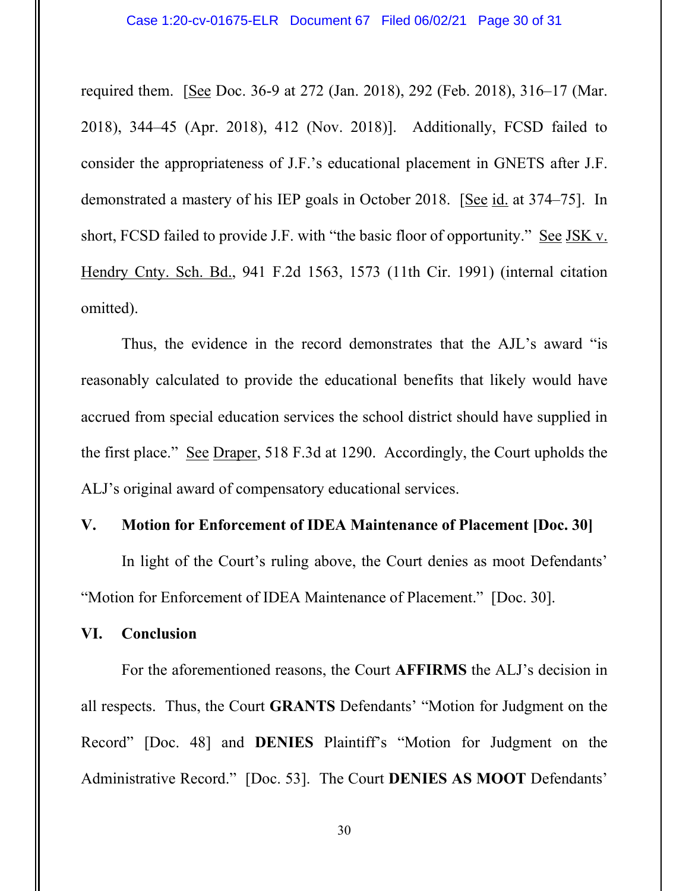required them. [See Doc. 36-9 at 272 (Jan. 2018), 292 (Feb. 2018), 316–17 (Mar. 2018), 344–45 (Apr. 2018), 412 (Nov. 2018)]. Additionally, FCSD failed to consider the appropriateness of J.F.'s educational placement in GNETS after J.F. demonstrated a mastery of his IEP goals in October 2018. [See id. at 374–75]. In short, FCSD failed to provide J.F. with "the basic floor of opportunity." See JSK v. Hendry Cnty. Sch. Bd., 941 F.2d 1563, 1573 (11th Cir. 1991) (internal citation omitted).

Thus, the evidence in the record demonstrates that the AJL's award "is reasonably calculated to provide the educational benefits that likely would have accrued from special education services the school district should have supplied in the first place." See Draper, 518 F.3d at 1290. Accordingly, the Court upholds the ALJ's original award of compensatory educational services.

#### **V. Motion for Enforcement of IDEA Maintenance of Placement [Doc. 30]**

In light of the Court's ruling above, the Court denies as moot Defendants' "Motion for Enforcement of IDEA Maintenance of Placement." [Doc. 30].

## **VI. Conclusion**

For the aforementioned reasons, the Court **AFFIRMS** the ALJ's decision in all respects. Thus, the Court **GRANTS** Defendants' "Motion for Judgment on the Record" [Doc. 48] and **DENIES** Plaintiff's "Motion for Judgment on the Administrative Record." [Doc. 53]. The Court **DENIES AS MOOT** Defendants'